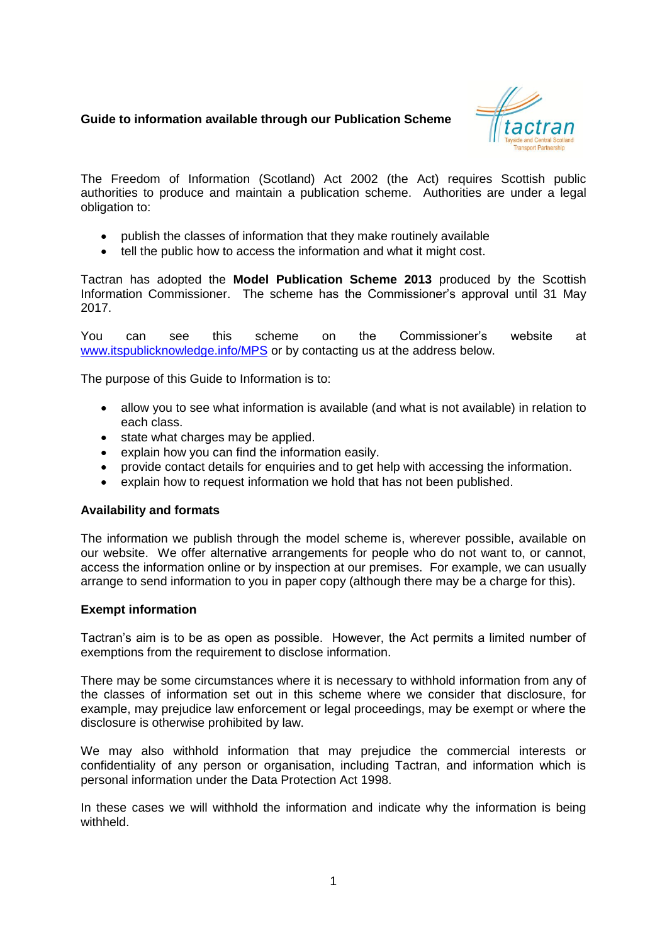# **Guide to information available through our Publication Scheme**



The Freedom of Information (Scotland) Act 2002 (the Act) requires Scottish public authorities to produce and maintain a publication scheme. Authorities are under a legal obligation to:

- publish the classes of information that they make routinely available
- tell the public how to access the information and what it might cost.

Tactran has adopted the **Model Publication Scheme 2013** produced by the Scottish Information Commissioner. The scheme has the Commissioner's approval until 31 May 2017.

You can see this scheme on the Commissioner's website at [www.itspublicknowledge.info/MPS](http://www.itspublicknowledge.info/MPS) or by contacting us at the address below.

The purpose of this Guide to Information is to:

- allow you to see what information is available (and what is not available) in relation to each class.
- state what charges may be applied.
- explain how you can find the information easily.
- provide contact details for enquiries and to get help with accessing the information.
- explain how to request information we hold that has not been published.

### **Availability and formats**

The information we publish through the model scheme is, wherever possible, available on our website. We offer alternative arrangements for people who do not want to, or cannot, access the information online or by inspection at our premises. For example, we can usually arrange to send information to you in paper copy (although there may be a charge for this).

### **Exempt information**

Tactran's aim is to be as open as possible. However, the Act permits a limited number of exemptions from the requirement to disclose information.

There may be some circumstances where it is necessary to withhold information from any of the classes of information set out in this scheme where we consider that disclosure, for example, may prejudice law enforcement or legal proceedings, may be exempt or where the disclosure is otherwise prohibited by law.

We may also withhold information that may prejudice the commercial interests or confidentiality of any person or organisation, including Tactran, and information which is personal information under the Data Protection Act 1998.

In these cases we will withhold the information and indicate why the information is being withheld.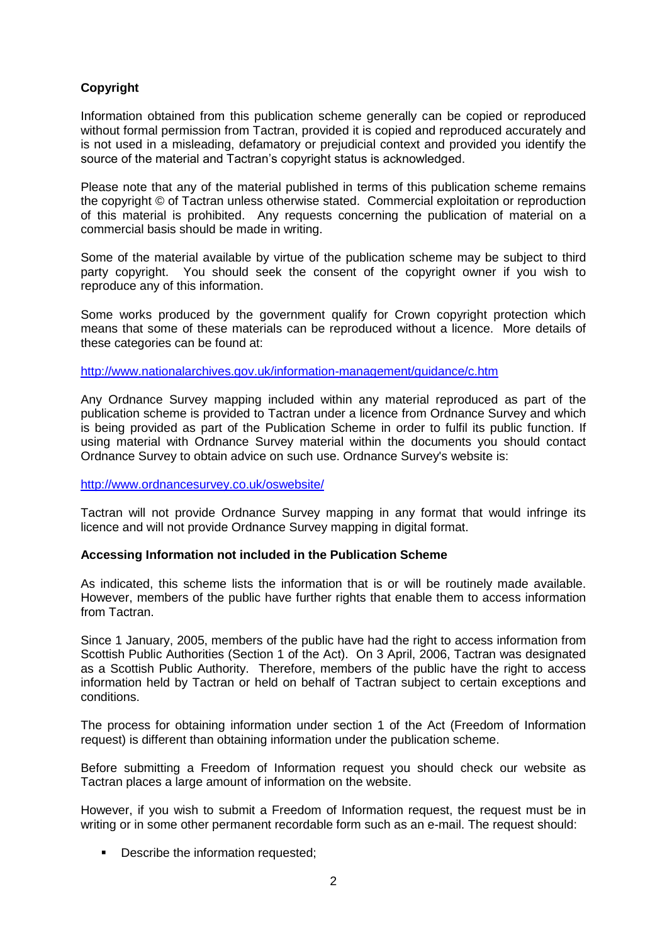# **Copyright**

Information obtained from this publication scheme generally can be copied or reproduced without formal permission from Tactran, provided it is copied and reproduced accurately and is not used in a misleading, defamatory or prejudicial context and provided you identify the source of the material and Tactran's copyright status is acknowledged.

Please note that any of the material published in terms of this publication scheme remains the copyright © of Tactran unless otherwise stated. Commercial exploitation or reproduction of this material is prohibited. Any requests concerning the publication of material on a commercial basis should be made in writing.

Some of the material available by virtue of the publication scheme may be subject to third party copyright. You should seek the consent of the copyright owner if you wish to reproduce any of this information.

Some works produced by the government qualify for Crown copyright protection which means that some of these materials can be reproduced without a licence. More details of these categories can be found at:

<http://www.nationalarchives.gov.uk/information-management/guidance/c.htm>

Any Ordnance Survey mapping included within any material reproduced as part of the publication scheme is provided to Tactran under a licence from Ordnance Survey and which is being provided as part of the Publication Scheme in order to fulfil its public function. If using material with Ordnance Survey material within the documents you should contact Ordnance Survey to obtain advice on such use. Ordnance Survey's website is:

### <http://www.ordnancesurvey.co.uk/oswebsite/>

Tactran will not provide Ordnance Survey mapping in any format that would infringe its licence and will not provide Ordnance Survey mapping in digital format.

## **Accessing Information not included in the Publication Scheme**

As indicated, this scheme lists the information that is or will be routinely made available. However, members of the public have further rights that enable them to access information from Tactran.

Since 1 January, 2005, members of the public have had the right to access information from Scottish Public Authorities (Section 1 of the Act). On 3 April, 2006, Tactran was designated as a Scottish Public Authority. Therefore, members of the public have the right to access information held by Tactran or held on behalf of Tactran subject to certain exceptions and conditions.

The process for obtaining information under section 1 of the Act (Freedom of Information request) is different than obtaining information under the publication scheme.

Before submitting a Freedom of Information request you should check our website as Tactran places a large amount of information on the website.

However, if you wish to submit a Freedom of Information request, the request must be in writing or in some other permanent recordable form such as an e-mail. The request should:

**•** Describe the information requested;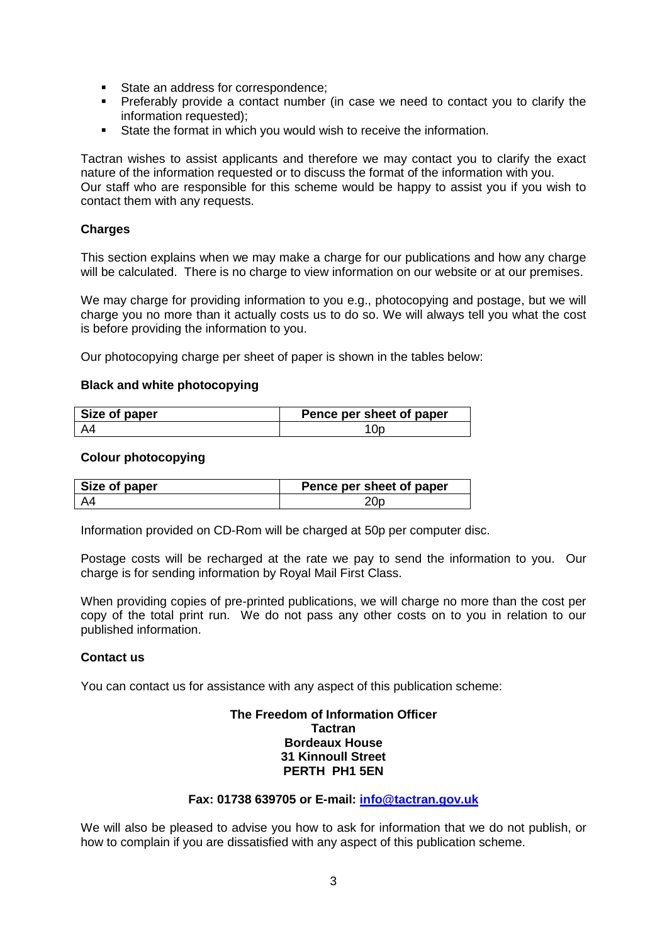- **State an address for correspondence;**
- Preferably provide a contact number (in case we need to contact you to clarify the information requested);
- State the format in which you would wish to receive the information.

Tactran wishes to assist applicants and therefore we may contact you to clarify the exact nature of the information requested or to discuss the format of the information with you. Our staff who are responsible for this scheme would be happy to assist you if you wish to contact them with any requests.

### **Charges**

This section explains when we may make a charge for our publications and how any charge will be calculated. There is no charge to view information on our website or at our premises.

We may charge for providing information to you e.g., photocopying and postage, but we will charge you no more than it actually costs us to do so. We will always tell you what the cost is before providing the information to you.

Our photocopying charge per sheet of paper is shown in the tables below:

### **Black and white photocopying**

| Size of paper | Pence per sheet of paper |
|---------------|--------------------------|
|               |                          |

#### **Colour photocopying**

| Size of paper | Pence per sheet of paper |
|---------------|--------------------------|
|               |                          |

Information provided on CD-Rom will be charged at 50p per computer disc.

Postage costs will be recharged at the rate we pay to send the information to you. Our charge is for sending information by Royal Mail First Class.

When providing copies of pre-printed publications, we will charge no more than the cost per copy of the total print run. We do not pass any other costs on to you in relation to our published information.

### **Contact us**

You can contact us for assistance with any aspect of this publication scheme:

#### **The Freedom of Information Officer Tactran Bordeaux House 31 Kinnoull Street PERTH PH1 5EN**

### **Fax: 01738 639705 or E-mail: [info@tactran.gov.uk](mailto:info@tactran.gov.uk)**

We will also be pleased to advise you how to ask for information that we do not publish, or how to complain if you are dissatisfied with any aspect of this publication scheme.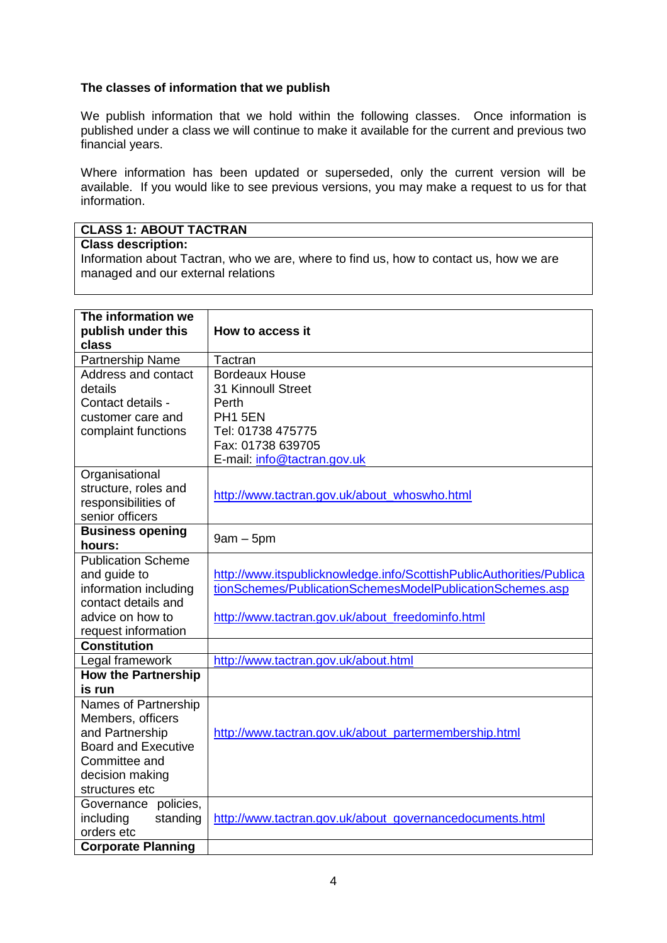## **The classes of information that we publish**

We publish information that we hold within the following classes. Once information is published under a class we will continue to make it available for the current and previous two financial years.

Where information has been updated or superseded, only the current version will be available. If you would like to see previous versions, you may make a request to us for that information.

# **CLASS 1: ABOUT TACTRAN**

### **Class description:**

Information about Tactran, who we are, where to find us, how to contact us, how we are managed and our external relations

| The information we<br>publish under this<br>class | How to access it                                                     |
|---------------------------------------------------|----------------------------------------------------------------------|
| Partnership Name                                  | Tactran                                                              |
| Address and contact                               | <b>Bordeaux House</b>                                                |
| details                                           | 31 Kinnoull Street                                                   |
| Contact details -                                 | Perth                                                                |
| customer care and                                 | PH1 5EN                                                              |
| complaint functions                               | Tel: 01738 475775                                                    |
|                                                   | Fax: 01738 639705                                                    |
|                                                   | E-mail: info@tactran.gov.uk                                          |
| Organisational                                    |                                                                      |
| structure, roles and                              | http://www.tactran.gov.uk/about_whoswho.html                         |
| responsibilities of                               |                                                                      |
| senior officers                                   |                                                                      |
| <b>Business opening</b><br>hours:                 | $9am - 5pm$                                                          |
| <b>Publication Scheme</b>                         |                                                                      |
| and guide to                                      | http://www.itspublicknowledge.info/ScottishPublicAuthorities/Publica |
| information including                             | tionSchemes/PublicationSchemesModelPublicationSchemes.asp            |
| contact details and                               |                                                                      |
| advice on how to                                  | http://www.tactran.gov.uk/about_freedominfo.html                     |
| request information                               |                                                                      |
| <b>Constitution</b>                               |                                                                      |
| Legal framework                                   | http://www.tactran.gov.uk/about.html                                 |
| <b>How the Partnership</b>                        |                                                                      |
| is run                                            |                                                                      |
| Names of Partnership                              |                                                                      |
| Members, officers                                 |                                                                      |
| and Partnership                                   | http://www.tactran.gov.uk/about_partermembership.html                |
| <b>Board and Executive</b>                        |                                                                      |
| Committee and                                     |                                                                      |
| decision making                                   |                                                                      |
| structures etc                                    |                                                                      |
| Governance policies,                              |                                                                      |
| including<br>standing                             | http://www.tactran.gov.uk/about_governancedocuments.html             |
| orders etc                                        |                                                                      |
| <b>Corporate Planning</b>                         |                                                                      |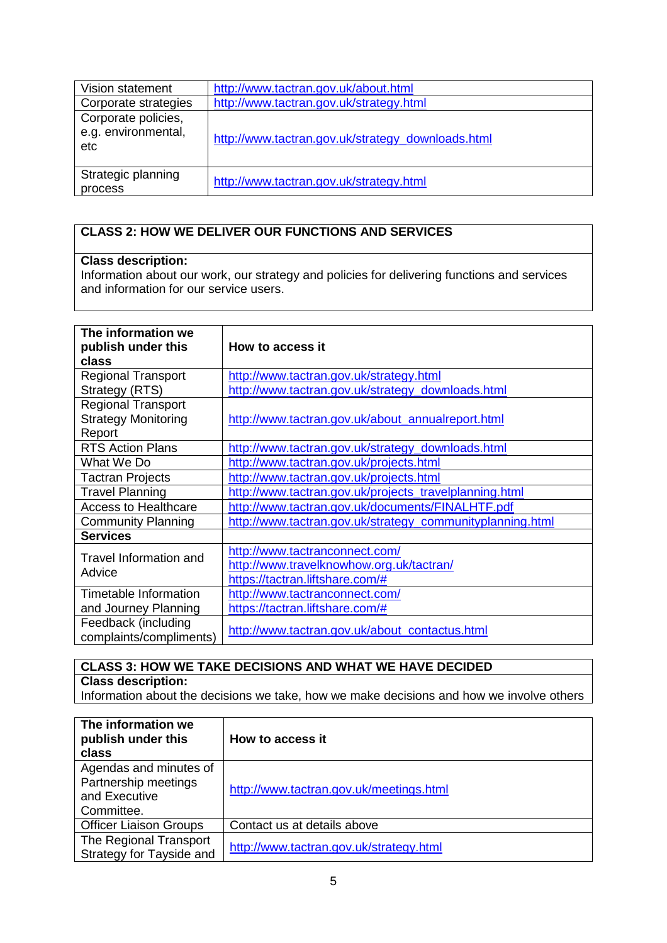| Vision statement                                  | http://www.tactran.gov.uk/about.html              |
|---------------------------------------------------|---------------------------------------------------|
| Corporate strategies                              | http://www.tactran.gov.uk/strategy.html           |
| Corporate policies,<br>e.g. environmental,<br>etc | http://www.tactran.gov.uk/strategy_downloads.html |
| Strategic planning<br>process                     | http://www.tactran.gov.uk/strategy.html           |

# **CLASS 2: HOW WE DELIVER OUR FUNCTIONS AND SERVICES**

## **Class description:**

Information about our work, our strategy and policies for delivering functions and services and information for our service users.

| The information we<br>publish under this<br>class | How to access it                                          |
|---------------------------------------------------|-----------------------------------------------------------|
| <b>Regional Transport</b>                         | http://www.tactran.gov.uk/strategy.html                   |
| Strategy (RTS)                                    | http://www.tactran.gov.uk/strategy_downloads.html         |
| <b>Regional Transport</b>                         |                                                           |
| <b>Strategy Monitoring</b>                        | http://www.tactran.gov.uk/about_annualreport.html         |
| Report                                            |                                                           |
| <b>RTS Action Plans</b>                           | http://www.tactran.gov.uk/strategy_downloads.html         |
| What We Do                                        | http://www.tactran.gov.uk/projects.html                   |
| <b>Tactran Projects</b>                           | http://www.tactran.gov.uk/projects.html                   |
| <b>Travel Planning</b>                            | http://www.tactran.gov.uk/projects_travelplanning.html    |
| <b>Access to Healthcare</b>                       | http://www.tactran.gov.uk/documents/FINALHTF.pdf          |
| <b>Community Planning</b>                         | http://www.tactran.gov.uk/strategy_communityplanning.html |
| <b>Services</b>                                   |                                                           |
| <b>Travel Information and</b>                     | http://www.tactranconnect.com/                            |
| Advice                                            | http://www.travelknowhow.org.uk/tactran/                  |
|                                                   | https://tactran.liftshare.com/#                           |
| Timetable Information                             | http://www.tactranconnect.com/                            |
| and Journey Planning                              | https://tactran.liftshare.com/#                           |
| Feedback (including<br>complaints/compliments)    | http://www.tactran.gov.uk/about_contactus.html            |

## **CLASS 3: HOW WE TAKE DECISIONS AND WHAT WE HAVE DECIDED Class description:**

Information about the decisions we take, how we make decisions and how we involve others

| The information we<br>publish under this<br>class                             | How to access it                        |
|-------------------------------------------------------------------------------|-----------------------------------------|
| Agendas and minutes of<br>Partnership meetings<br>and Executive<br>Committee. | http://www.tactran.gov.uk/meetings.html |
| <b>Officer Liaison Groups</b>                                                 | Contact us at details above             |
| The Regional Transport<br>Strategy for Tayside and                            | http://www.tactran.gov.uk/strategy.html |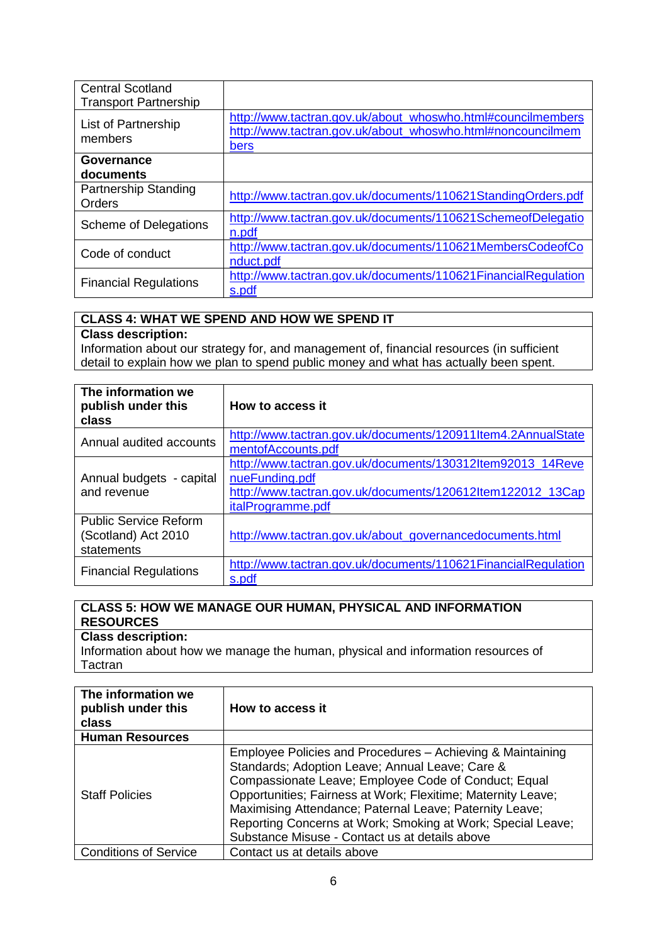| <b>Central Scotland</b><br><b>Transport Partnership</b> |                                                                                                                                   |
|---------------------------------------------------------|-----------------------------------------------------------------------------------------------------------------------------------|
| List of Partnership<br>members                          | http://www.tactran.gov.uk/about_whoswho.html#councilmembers<br>http://www.tactran.gov.uk/about_whoswho.html#noncouncilmem<br>bers |
| Governance<br>documents                                 |                                                                                                                                   |
| Partnership Standing<br>Orders                          | http://www.tactran.gov.uk/documents/110621StandingOrders.pdf                                                                      |
| Scheme of Delegations                                   | http://www.tactran.gov.uk/documents/110621SchemeofDelegatio<br>n.pdf                                                              |
| Code of conduct                                         | http://www.tactran.gov.uk/documents/110621MembersCodeofCo<br>nduct.pdf                                                            |
| <b>Financial Regulations</b>                            | http://www.tactran.gov.uk/documents/110621FinancialRegulation<br>s.pdf                                                            |

## **CLASS 4: WHAT WE SPEND AND HOW WE SPEND IT**

# **Class description:**

Information about our strategy for, and management of, financial resources (in sufficient detail to explain how we plan to spend public money and what has actually been spent.

| The information we<br>publish under this<br>class                 | How to access it                                                                                                                                                       |
|-------------------------------------------------------------------|------------------------------------------------------------------------------------------------------------------------------------------------------------------------|
| Annual audited accounts                                           | http://www.tactran.gov.uk/documents/120911Item4.2AnnualState<br>mentofAccounts.pdf                                                                                     |
| Annual budgets - capital<br>and revenue                           | http://www.tactran.gov.uk/documents/130312ltem92013_14Reve<br>nueFunding.pdf<br>http://www.tactran.gov.uk/documents/120612ltem122012 13Cap<br><i>italProgramme.pdf</i> |
| <b>Public Service Reform</b><br>(Scotland) Act 2010<br>statements | http://www.tactran.gov.uk/about_governancedocuments.html                                                                                                               |
| <b>Financial Regulations</b>                                      | http://www.tactran.gov.uk/documents/110621FinancialRegulation<br>s.pdf                                                                                                 |

# **CLASS 5: HOW WE MANAGE OUR HUMAN, PHYSICAL AND INFORMATION RESOURCES**

# **Class description:**

Information about how we manage the human, physical and information resources of **Tactran** 

| The information we<br>publish under this<br>class | How to access it                                                                                                                                                                                                                                                                                                                                                                                                  |
|---------------------------------------------------|-------------------------------------------------------------------------------------------------------------------------------------------------------------------------------------------------------------------------------------------------------------------------------------------------------------------------------------------------------------------------------------------------------------------|
| <b>Human Resources</b>                            |                                                                                                                                                                                                                                                                                                                                                                                                                   |
| <b>Staff Policies</b>                             | Employee Policies and Procedures - Achieving & Maintaining<br>Standards; Adoption Leave; Annual Leave; Care &<br>Compassionate Leave; Employee Code of Conduct; Equal<br>Opportunities; Fairness at Work; Flexitime; Maternity Leave;<br>Maximising Attendance; Paternal Leave; Paternity Leave;<br>Reporting Concerns at Work; Smoking at Work; Special Leave;<br>Substance Misuse - Contact us at details above |
| <b>Conditions of Service</b>                      | Contact us at details above                                                                                                                                                                                                                                                                                                                                                                                       |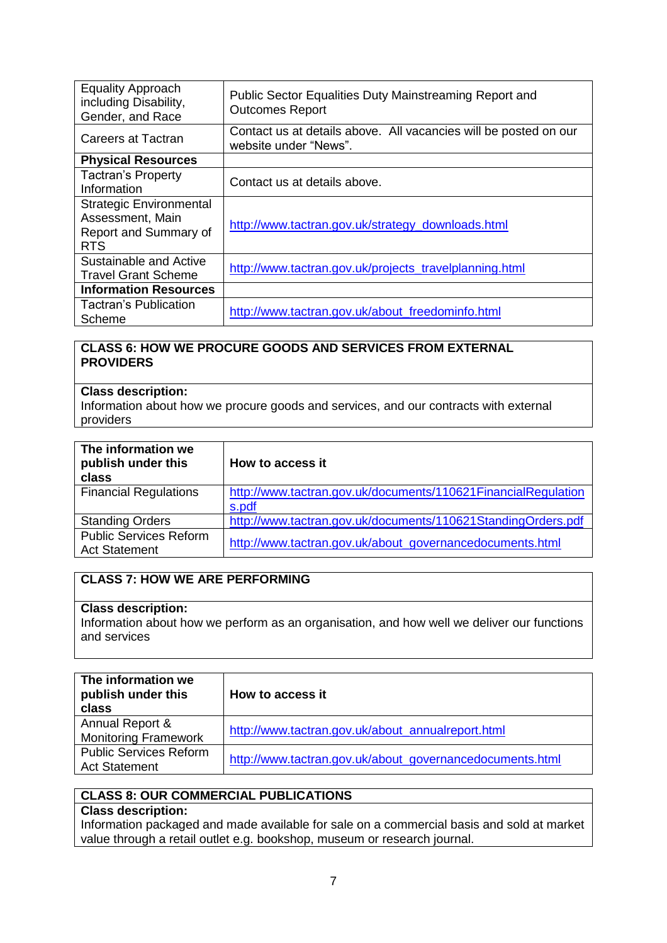| <b>Equality Approach</b><br>including Disability,<br>Gender, and Race                     | Public Sector Equalities Duty Mainstreaming Report and<br><b>Outcomes Report</b>          |
|-------------------------------------------------------------------------------------------|-------------------------------------------------------------------------------------------|
| Careers at Tactran                                                                        | Contact us at details above. All vacancies will be posted on our<br>website under "News". |
| <b>Physical Resources</b>                                                                 |                                                                                           |
| <b>Tactran's Property</b><br>Information                                                  | Contact us at details above.                                                              |
| <b>Strategic Environmental</b><br>Assessment, Main<br>Report and Summary of<br><b>RTS</b> | http://www.tactran.gov.uk/strategy_downloads.html                                         |
| Sustainable and Active<br><b>Travel Grant Scheme</b>                                      | http://www.tactran.gov.uk/projects_travelplanning.html                                    |
| <b>Information Resources</b>                                                              |                                                                                           |
| Tactran's Publication<br>Scheme                                                           | http://www.tactran.gov.uk/about freedominfo.html                                          |

## **CLASS 6: HOW WE PROCURE GOODS AND SERVICES FROM EXTERNAL PROVIDERS**

## **Class description:**

Information about how we procure goods and services, and our contracts with external providers

| The information we<br>publish under this<br>class     | How to access it                                                       |
|-------------------------------------------------------|------------------------------------------------------------------------|
| <b>Financial Regulations</b>                          | http://www.tactran.gov.uk/documents/110621FinancialRegulation<br>s.pdf |
| <b>Standing Orders</b>                                | http://www.tactran.gov.uk/documents/110621StandingOrders.pdf           |
| <b>Public Services Reform</b><br><b>Act Statement</b> | http://www.tactran.gov.uk/about_governancedocuments.html               |

## **CLASS 7: HOW WE ARE PERFORMING**

### **Class description:**

Information about how we perform as an organisation, and how well we deliver our functions and services

| The information we<br>publish under this<br>class     | How to access it                                         |
|-------------------------------------------------------|----------------------------------------------------------|
| Annual Report &<br><b>Monitoring Framework</b>        | http://www.tactran.gov.uk/about_annualreport.html        |
| <b>Public Services Reform</b><br><b>Act Statement</b> | http://www.tactran.gov.uk/about_governancedocuments.html |

# **CLASS 8: OUR COMMERCIAL PUBLICATIONS**

## **Class description:**

Information packaged and made available for sale on a commercial basis and sold at market value through a retail outlet e.g. bookshop, museum or research journal.